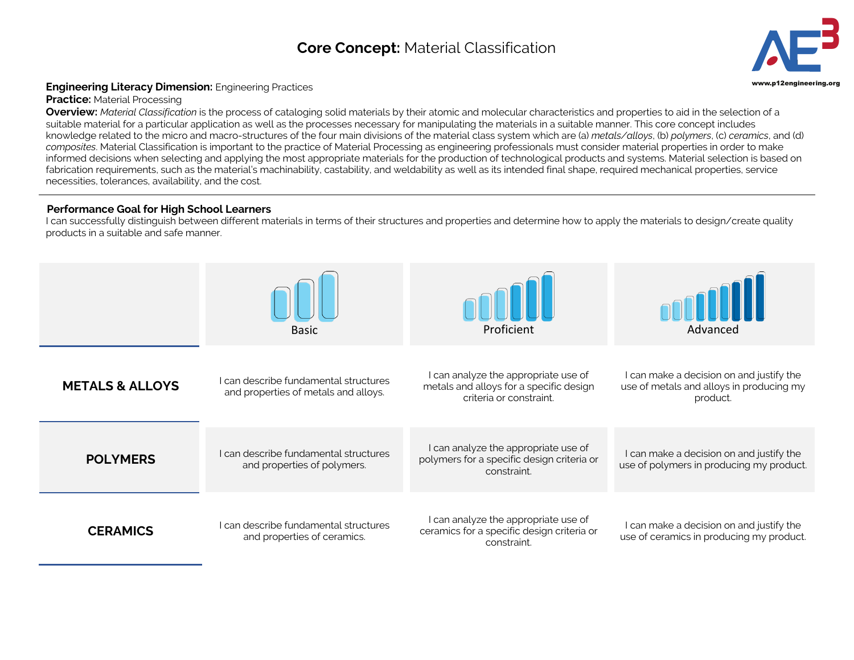## **Core Concept:** Material Classification **3**



## **Engineering Literacy Dimension:** Engineering Practices **Engineering.org and Secure 2016** and the structure of the structure of the structure of the structure of the structure of the structure of the structure of the struc

**Practice: Material Processing** 

**Overview:** *Material Classification* is the process of cataloging solid materials by their atomic and molecular characteristics and properties to aid in the selection of a suitable material for a particular application as well as the processes necessary for manipulating the materials in a suitable manner. This core concept includes knowledge related to the micro and macro-structures of the four main divisions of the material class system which are (a) *metals/alloys*, (b) *polymers*, (c) *ceramics*, and (d) *composites*. Material Classification is important to the practice of Material Processing as engineering professionals must consider material properties in order to make informed decisions when selecting and applying the most appropriate materials for the production of technological products and systems. Material selection is based on fabrication requirements, such as the material's machinability, castability, and weldability as well as its intended final shape, required mechanical properties, service necessities, tolerances, availability, and the cost.

## **Performance Goal for High School Learners**

I can successfully distinguish between different materials in terms of their structures and properties and determine how to apply the materials to design/create quality products in a suitable and safe manner.